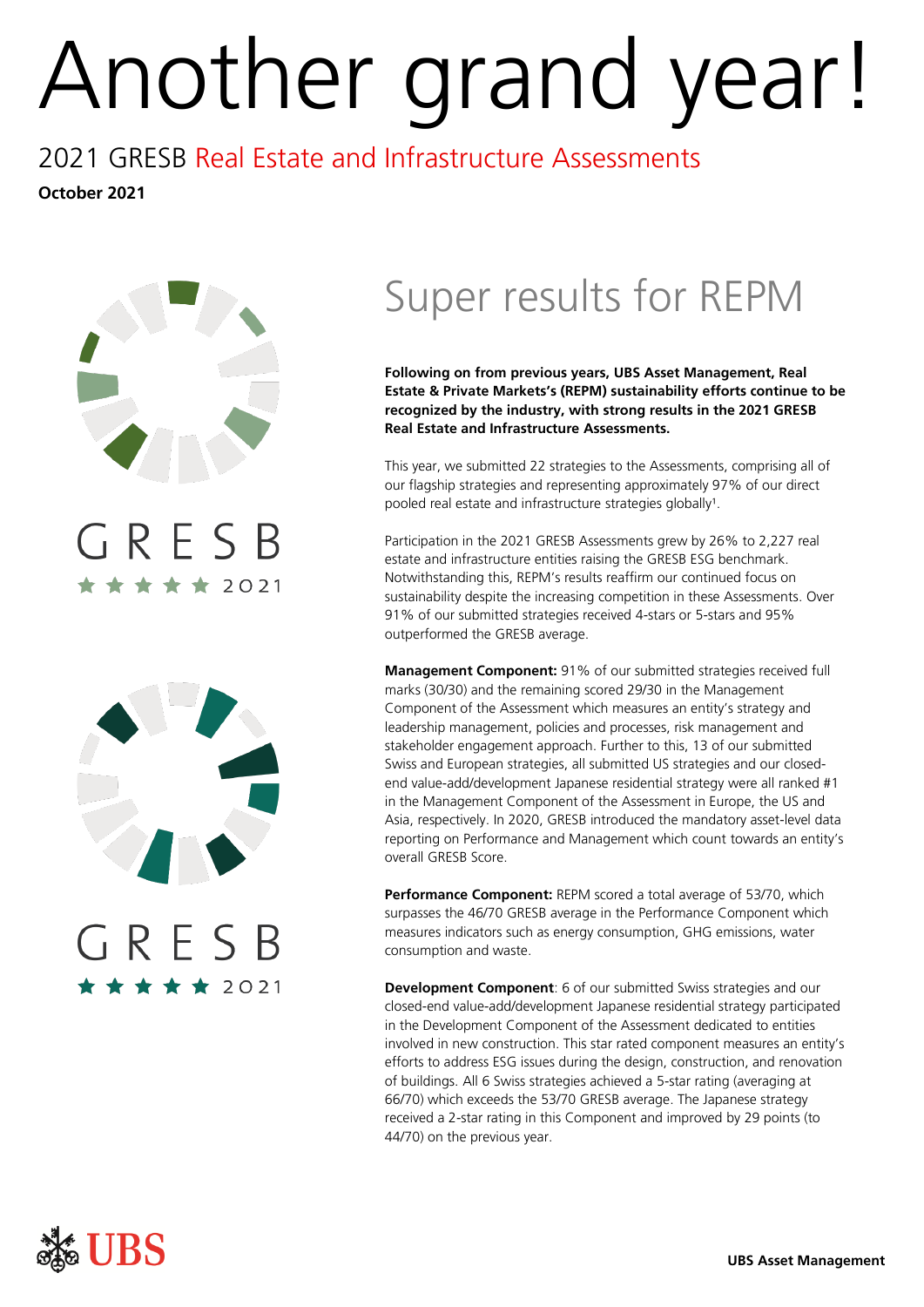# Another grand year!

## 2021 GRESB Real Estate and Infrastructure Assessments

**October 2021** 



₹★★ 2021

# Super results for REPM

**Following on from previous years, UBS Asset Management, Real Estate & Private Markets's (REPM) sustainability efforts continue to be recognized by the industry, with strong results in the 2021 GRESB Real Estate and Infrastructure Assessments.** 

This year, we submitted 22 strategies to the Assessments, comprising all of our flagship strategies and representing approximately 97% of our direct pooled real estate and infrastructure strategies globally<sup>1</sup>.

Participation in the 2021 GRESB Assessments grew by 26% to 2,227 real estate and infrastructure entities raising the GRESB ESG benchmark. Notwithstanding this, REPM's results reaffirm our continued focus on sustainability despite the increasing competition in these Assessments. Over 91% of our submitted strategies received 4-stars or 5-stars and 95% outperformed the GRESB average.

**Management Component:** 91% of our submitted strategies received full marks (30/30) and the remaining scored 29/30 in the Management Component of the Assessment which measures an entity's strategy and leadership management, policies and processes, risk management and stakeholder engagement approach. Further to this, 13 of our submitted Swiss and European strategies, all submitted US strategies and our closedend value-add/development Japanese residential strategy were all ranked #1 in the Management Component of the Assessment in Europe, the US and Asia, respectively. In 2020, GRESB introduced the mandatory asset-level data reporting on Performance and Management which count towards an entity's overall GRESB Score.

Performance Component: REPM scored a total average of 53/70, which surpasses the 46/70 GRESB average in the Performance Component which measures indicators such as energy consumption, GHG emissions, water consumption and waste.

**Development Component**: 6 of our submitted Swiss strategies and our closed-end value-add/development Japanese residential strategy participated in the Development Component of the Assessment dedicated to entities involved in new construction. This star rated component measures an entity's efforts to address ESG issues during the design, construction, and renovation of buildings. All 6 Swiss strategies achieved a 5-star rating (averaging at 66/70) which exceeds the 53/70 GRESB average. The Japanese strategy received a 2-star rating in this Component and improved by 29 points (to 44/70) on the previous year.

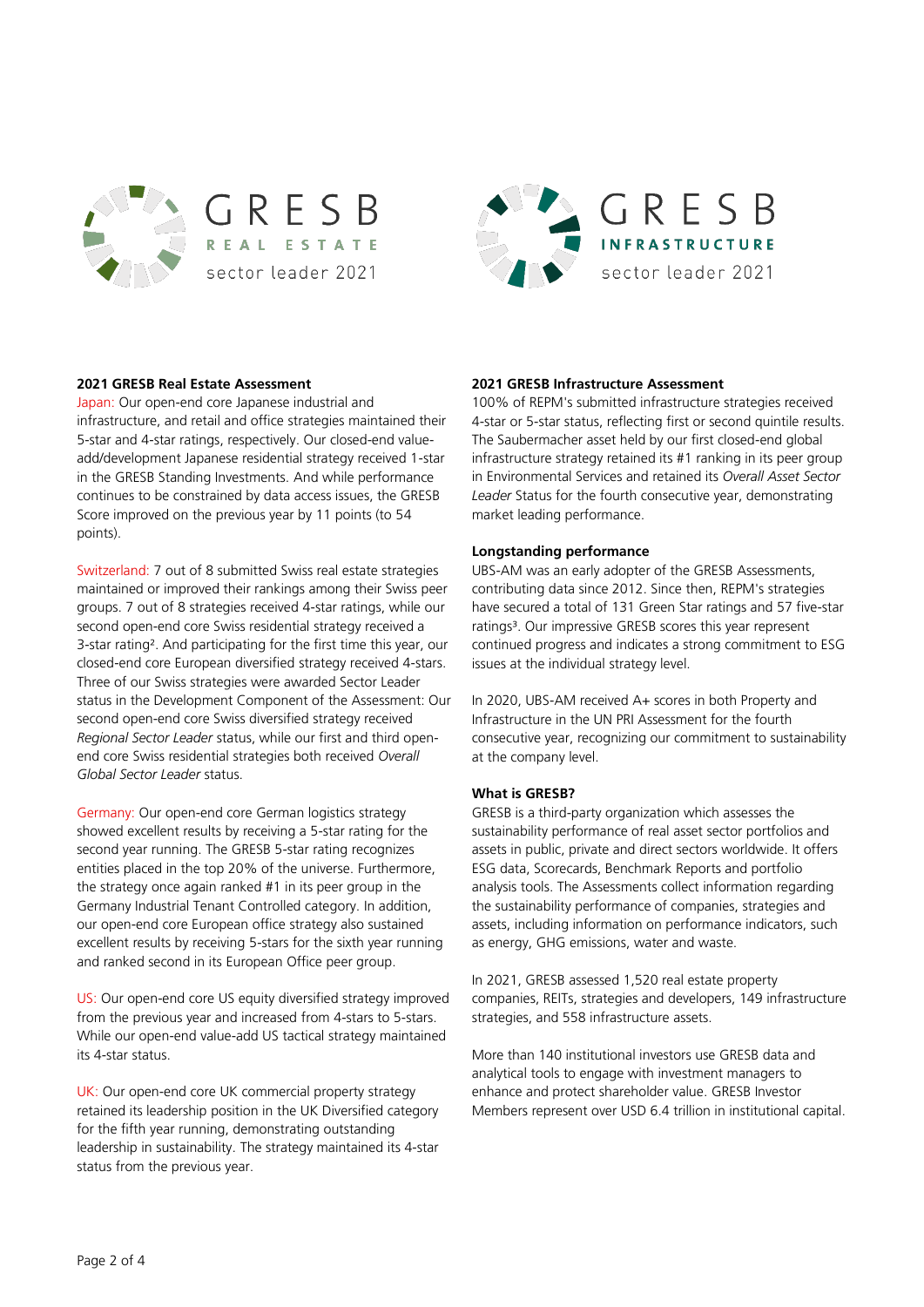



## **2021 GRESB Real Estate Assessment**

Japan: Our open-end core Japanese industrial and infrastructure, and retail and office strategies maintained their 5-star and 4-star ratings, respectively. Our closed-end valueadd/development Japanese residential strategy received 1-star in the GRESB Standing Investments. And while performance continues to be constrained by data access issues, the GRESB Score improved on the previous year by 11 points (to 54 points).

Switzerland: 7 out of 8 submitted Swiss real estate strategies maintained or improved their rankings among their Swiss peer groups. 7 out of 8 strategies received 4-star ratings, while our second open-end core Swiss residential strategy received a 3-star rating². And participating for the first time this year, our closed-end core European diversified strategy received 4-stars. Three of our Swiss strategies were awarded Sector Leader status in the Development Component of the Assessment: Our second open-end core Swiss diversified strategy received *Regional Sector Leader* status, while our first and third openend core Swiss residential strategies both received *Overall Global Sector Leader* status.

Germany: Our open-end core German logistics strategy showed excellent results by receiving a 5-star rating for the second year running. The GRESB 5-star rating recognizes entities placed in the top 20% of the universe. Furthermore, the strategy once again ranked #1 in its peer group in the Germany Industrial Tenant Controlled category. In addition, our open-end core European office strategy also sustained excellent results by receiving 5-stars for the sixth year running and ranked second in its European Office peer group.

US: Our open-end core US equity diversified strategy improved from the previous year and increased from 4-stars to 5-stars. While our open-end value-add US tactical strategy maintained its 4-star status.

UK: Our open-end core UK commercial property strategy retained its leadership position in the UK Diversified category for the fifth year running, demonstrating outstanding leadership in sustainability. The strategy maintained its 4-star status from the previous year.

## **2021 GRESB Infrastructure Assessment**

100% of REPM's submitted infrastructure strategies received 4-star or 5-star status, reflecting first or second quintile results. The Saubermacher asset held by our first closed-end global infrastructure strategy retained its #1 ranking in its peer group in Environmental Services and retained its *Overall Asset Sector Leader* Status for the fourth consecutive year, demonstrating market leading performance.

#### **Longstanding performance**

UBS-AM was an early adopter of the GRESB Assessments, contributing data since 2012. Since then, REPM's strategies have secured a total of 131 Green Star ratings and 57 five-star ratings<sup>3</sup>. Our impressive GRESB scores this year represent continued progress and indicates a strong commitment to ESG issues at the individual strategy level.

In 2020, UBS-AM received A+ scores in both Property and Infrastructure in the UN PRI Assessment for the fourth consecutive year, recognizing our commitment to sustainability at the company level.

#### **What is GRESB?**

GRESB is a third-party organization which assesses the sustainability performance of real asset sector portfolios and assets in public, private and direct sectors worldwide. It offers ESG data, Scorecards, Benchmark Reports and portfolio analysis tools. The Assessments collect information regarding the sustainability performance of companies, strategies and assets, including information on performance indicators, such as energy, GHG emissions, water and waste.

In 2021, GRESB assessed 1,520 real estate property companies, REITs, strategies and developers, 149 infrastructure strategies, and 558 infrastructure assets.

More than 140 institutional investors use GRESB data and analytical tools to engage with investment managers to enhance and protect shareholder value. GRESB Investor Members represent over USD 6.4 trillion in institutional capital.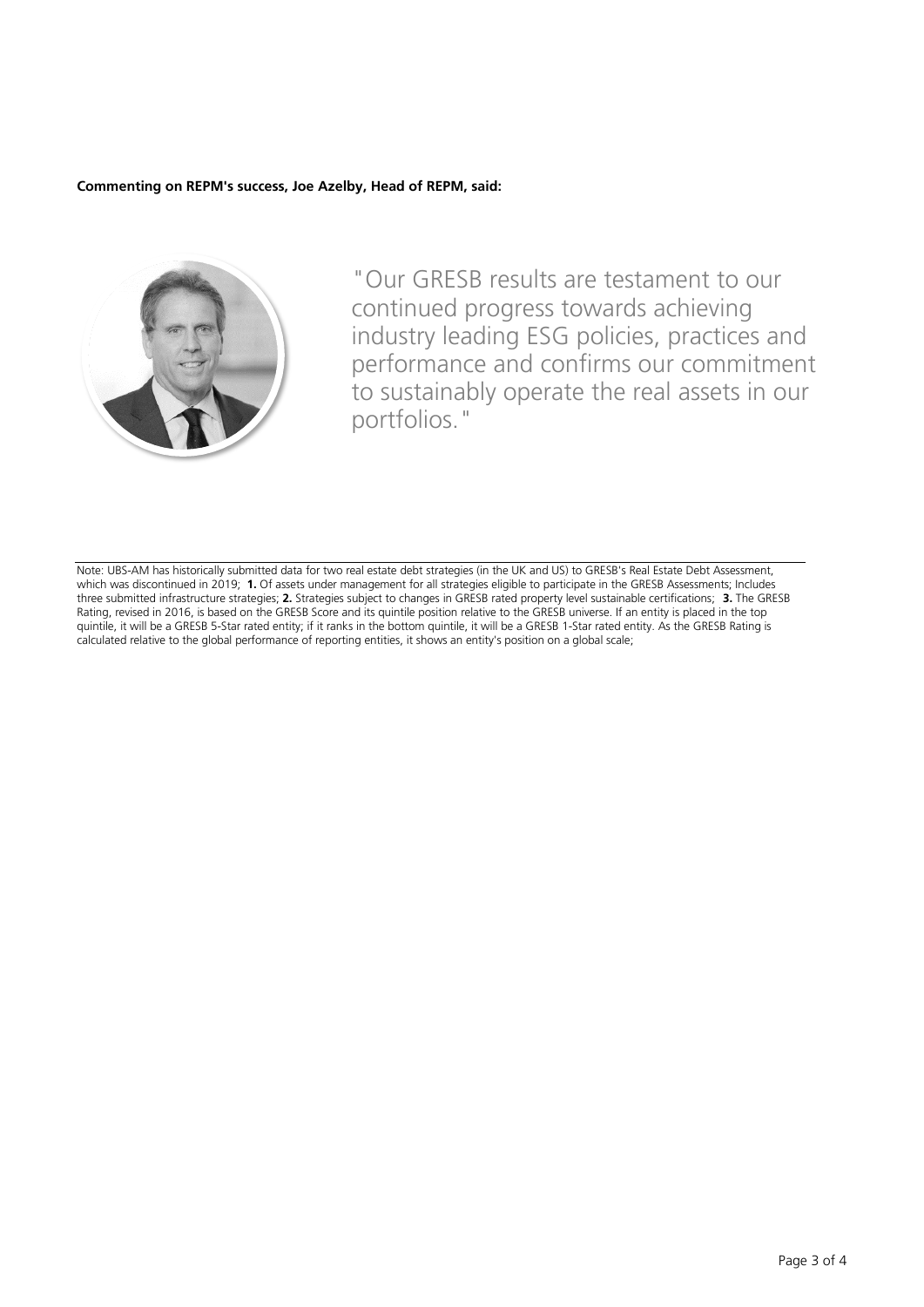## **Commenting on REPM's success, Joe Azelby, Head of REPM, said:**



"Our GRESB results are testament to our continued progress towards achieving industry leading ESG policies, practices and performance and confirms our commitment to sustainably operate the real assets in our portfolios."

Note: UBS-AM has historically submitted data for two real estate debt strategies (in the UK and US) to GRESB's Real Estate Debt Assessment, which was discontinued in 2019; **1.** Of assets under management for all strategies eligible to participate in the GRESB Assessments; Includes three submitted infrastructure strategies; **2.** Strategies subject to changes in GRESB rated property level sustainable certifications; **3.** The GRESB Rating, revised in 2016, is based on the GRESB Score and its quintile position relative to the GRESB universe. If an entity is placed in the top quintile, it will be a GRESB 5-Star rated entity; if it ranks in the bottom quintile, it will be a GRESB 1-Star rated entity. As the GRESB Rating is calculated relative to the global performance of reporting entities, it shows an entity's position on a global scale;